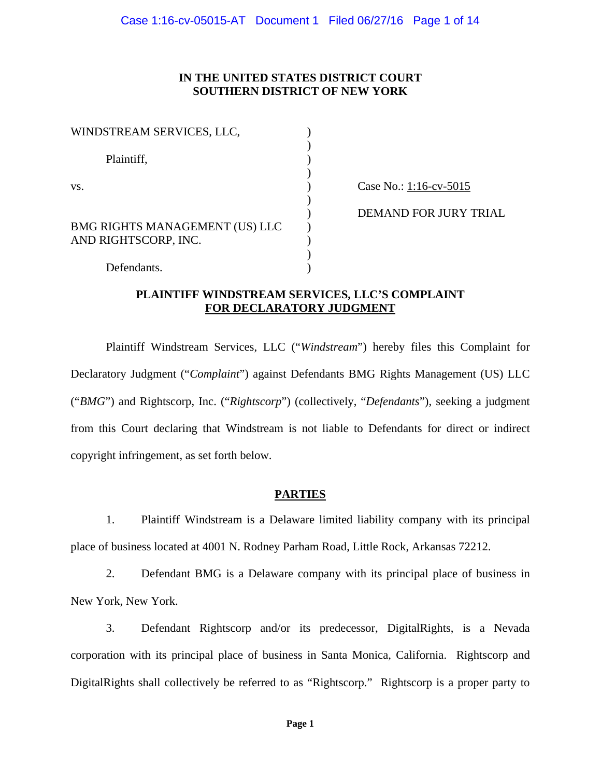### **IN THE UNITED STATES DISTRICT COURT SOUTHERN DISTRICT OF NEW YORK**

| WINDSTREAM SERVICES, LLC,                                     |  |
|---------------------------------------------------------------|--|
| Plaintiff,                                                    |  |
| VS.                                                           |  |
| <b>BMG RIGHTS MANAGEMENT (US) LLC</b><br>AND RIGHTSCORP, INC. |  |
| Defendants.                                                   |  |

Case No.: 1:16-cv-5015

) DEMAND FOR JURY TRIAL

## **PLAINTIFF WINDSTREAM SERVICES, LLC'S COMPLAINT FOR DECLARATORY JUDGMENT**

Plaintiff Windstream Services, LLC ("*Windstream*") hereby files this Complaint for Declaratory Judgment ("*Complaint*") against Defendants BMG Rights Management (US) LLC ("*BMG*") and Rightscorp, Inc. ("*Rightscorp*") (collectively, "*Defendants*"), seeking a judgment from this Court declaring that Windstream is not liable to Defendants for direct or indirect copyright infringement, as set forth below.

## **PARTIES**

1. Plaintiff Windstream is a Delaware limited liability company with its principal place of business located at 4001 N. Rodney Parham Road, Little Rock, Arkansas 72212.

2. Defendant BMG is a Delaware company with its principal place of business in New York, New York.

3. Defendant Rightscorp and/or its predecessor, DigitalRights, is a Nevada corporation with its principal place of business in Santa Monica, California. Rightscorp and DigitalRights shall collectively be referred to as "Rightscorp." Rightscorp is a proper party to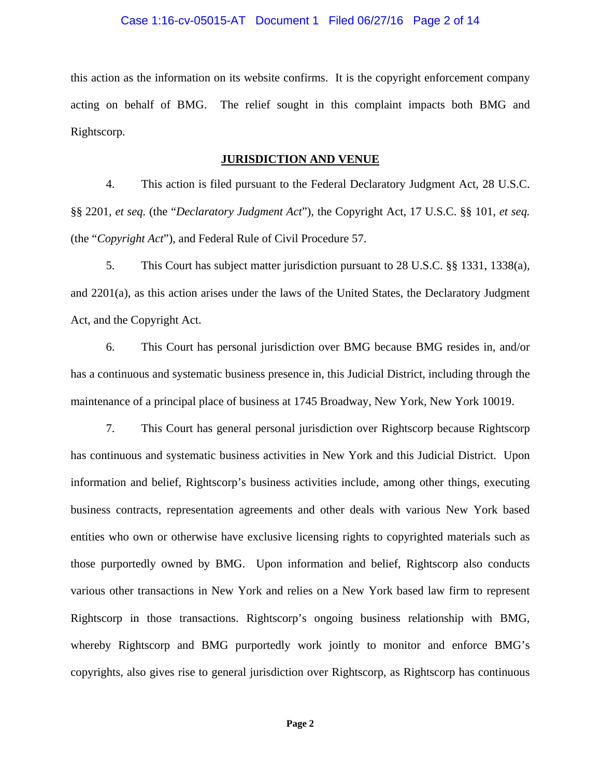#### Case 1:16-cv-05015-AT Document 1 Filed 06/27/16 Page 2 of 14

this action as the information on its website confirms. It is the copyright enforcement company acting on behalf of BMG. The relief sought in this complaint impacts both BMG and Rightscorp.

#### **JURISDICTION AND VENUE**

4. This action is filed pursuant to the Federal Declaratory Judgment Act, 28 U.S.C. §§ 2201, *et seq.* (the "*Declaratory Judgment Act*"), the Copyright Act, 17 U.S.C. §§ 101, *et seq.* (the "*Copyright Act*"), and Federal Rule of Civil Procedure 57.

5. This Court has subject matter jurisdiction pursuant to 28 U.S.C. §§ 1331, 1338(a), and 2201(a), as this action arises under the laws of the United States, the Declaratory Judgment Act, and the Copyright Act.

6. This Court has personal jurisdiction over BMG because BMG resides in, and/or has a continuous and systematic business presence in, this Judicial District, including through the maintenance of a principal place of business at 1745 Broadway, New York, New York 10019.

7. This Court has general personal jurisdiction over Rightscorp because Rightscorp has continuous and systematic business activities in New York and this Judicial District. Upon information and belief, Rightscorp's business activities include, among other things, executing business contracts, representation agreements and other deals with various New York based entities who own or otherwise have exclusive licensing rights to copyrighted materials such as those purportedly owned by BMG. Upon information and belief, Rightscorp also conducts various other transactions in New York and relies on a New York based law firm to represent Rightscorp in those transactions. Rightscorp's ongoing business relationship with BMG, whereby Rightscorp and BMG purportedly work jointly to monitor and enforce BMG's copyrights, also gives rise to general jurisdiction over Rightscorp, as Rightscorp has continuous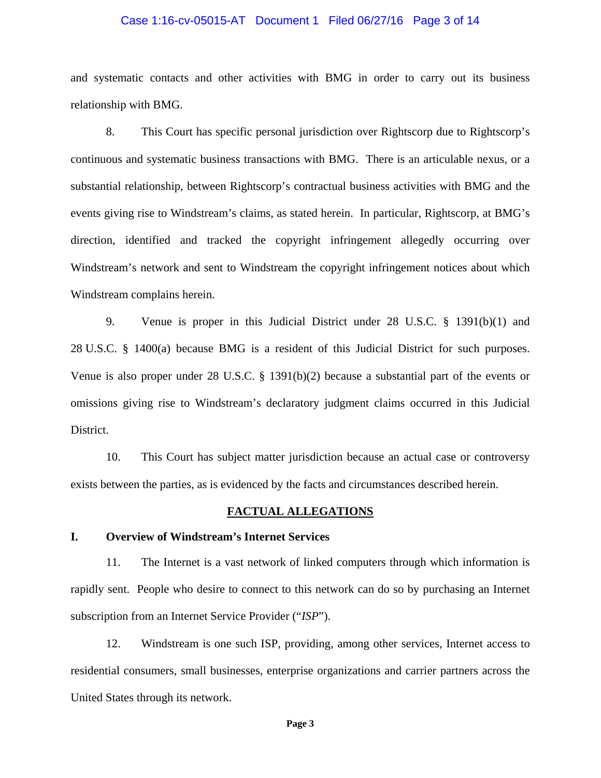#### Case 1:16-cv-05015-AT Document 1 Filed 06/27/16 Page 3 of 14

and systematic contacts and other activities with BMG in order to carry out its business relationship with BMG.

8. This Court has specific personal jurisdiction over Rightscorp due to Rightscorp's continuous and systematic business transactions with BMG. There is an articulable nexus, or a substantial relationship, between Rightscorp's contractual business activities with BMG and the events giving rise to Windstream's claims, as stated herein. In particular, Rightscorp, at BMG's direction, identified and tracked the copyright infringement allegedly occurring over Windstream's network and sent to Windstream the copyright infringement notices about which Windstream complains herein.

9. Venue is proper in this Judicial District under 28 U.S.C. § 1391(b)(1) and 28 U.S.C. § 1400(a) because BMG is a resident of this Judicial District for such purposes. Venue is also proper under 28 U.S.C. § 1391(b)(2) because a substantial part of the events or omissions giving rise to Windstream's declaratory judgment claims occurred in this Judicial District.

10. This Court has subject matter jurisdiction because an actual case or controversy exists between the parties, as is evidenced by the facts and circumstances described herein.

#### **FACTUAL ALLEGATIONS**

### **I. Overview of Windstream's Internet Services**

11. The Internet is a vast network of linked computers through which information is rapidly sent. People who desire to connect to this network can do so by purchasing an Internet subscription from an Internet Service Provider ("*ISP*").

12. Windstream is one such ISP, providing, among other services, Internet access to residential consumers, small businesses, enterprise organizations and carrier partners across the United States through its network.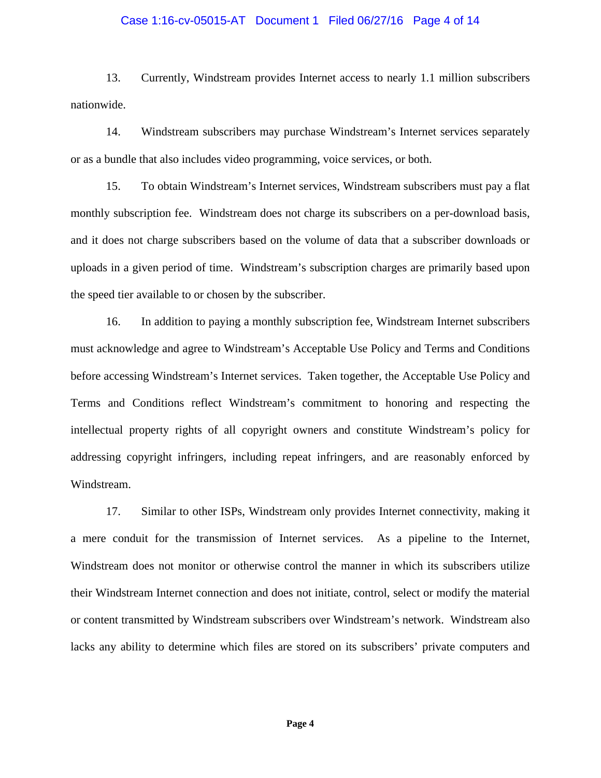## Case 1:16-cv-05015-AT Document 1 Filed 06/27/16 Page 4 of 14

13. Currently, Windstream provides Internet access to nearly 1.1 million subscribers nationwide.

14. Windstream subscribers may purchase Windstream's Internet services separately or as a bundle that also includes video programming, voice services, or both.

15. To obtain Windstream's Internet services, Windstream subscribers must pay a flat monthly subscription fee. Windstream does not charge its subscribers on a per-download basis, and it does not charge subscribers based on the volume of data that a subscriber downloads or uploads in a given period of time. Windstream's subscription charges are primarily based upon the speed tier available to or chosen by the subscriber.

16. In addition to paying a monthly subscription fee, Windstream Internet subscribers must acknowledge and agree to Windstream's Acceptable Use Policy and Terms and Conditions before accessing Windstream's Internet services. Taken together, the Acceptable Use Policy and Terms and Conditions reflect Windstream's commitment to honoring and respecting the intellectual property rights of all copyright owners and constitute Windstream's policy for addressing copyright infringers, including repeat infringers, and are reasonably enforced by Windstream.

17. Similar to other ISPs, Windstream only provides Internet connectivity, making it a mere conduit for the transmission of Internet services. As a pipeline to the Internet, Windstream does not monitor or otherwise control the manner in which its subscribers utilize their Windstream Internet connection and does not initiate, control, select or modify the material or content transmitted by Windstream subscribers over Windstream's network. Windstream also lacks any ability to determine which files are stored on its subscribers' private computers and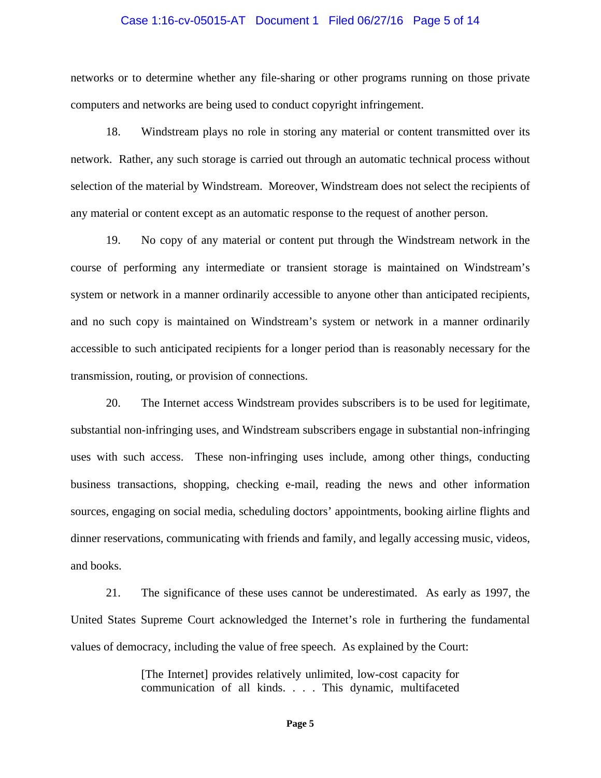## Case 1:16-cv-05015-AT Document 1 Filed 06/27/16 Page 5 of 14

networks or to determine whether any file-sharing or other programs running on those private computers and networks are being used to conduct copyright infringement.

18. Windstream plays no role in storing any material or content transmitted over its network. Rather, any such storage is carried out through an automatic technical process without selection of the material by Windstream. Moreover, Windstream does not select the recipients of any material or content except as an automatic response to the request of another person.

19. No copy of any material or content put through the Windstream network in the course of performing any intermediate or transient storage is maintained on Windstream's system or network in a manner ordinarily accessible to anyone other than anticipated recipients, and no such copy is maintained on Windstream's system or network in a manner ordinarily accessible to such anticipated recipients for a longer period than is reasonably necessary for the transmission, routing, or provision of connections.

20. The Internet access Windstream provides subscribers is to be used for legitimate, substantial non-infringing uses, and Windstream subscribers engage in substantial non-infringing uses with such access. These non-infringing uses include, among other things, conducting business transactions, shopping, checking e-mail, reading the news and other information sources, engaging on social media, scheduling doctors' appointments, booking airline flights and dinner reservations, communicating with friends and family, and legally accessing music, videos, and books.

21. The significance of these uses cannot be underestimated. As early as 1997, the United States Supreme Court acknowledged the Internet's role in furthering the fundamental values of democracy, including the value of free speech. As explained by the Court:

> [The Internet] provides relatively unlimited, low-cost capacity for communication of all kinds. . . . This dynamic, multifaceted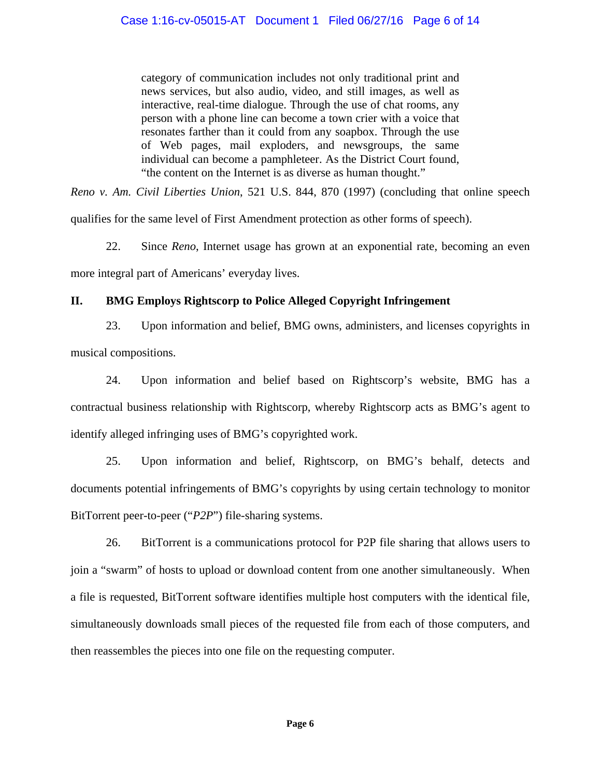category of communication includes not only traditional print and news services, but also audio, video, and still images, as well as interactive, real-time dialogue. Through the use of chat rooms, any person with a phone line can become a town crier with a voice that resonates farther than it could from any soapbox. Through the use of Web pages, mail exploders, and newsgroups, the same individual can become a pamphleteer. As the District Court found, "the content on the Internet is as diverse as human thought."

*Reno v. Am. Civil Liberties Union*, 521 U.S. 844, 870 (1997) (concluding that online speech qualifies for the same level of First Amendment protection as other forms of speech).

22. Since *Reno*, Internet usage has grown at an exponential rate, becoming an even more integral part of Americans' everyday lives.

# **II. BMG Employs Rightscorp to Police Alleged Copyright Infringement**

23. Upon information and belief, BMG owns, administers, and licenses copyrights in musical compositions.

24. Upon information and belief based on Rightscorp's website, BMG has a contractual business relationship with Rightscorp, whereby Rightscorp acts as BMG's agent to identify alleged infringing uses of BMG's copyrighted work.

25. Upon information and belief, Rightscorp, on BMG's behalf, detects and documents potential infringements of BMG's copyrights by using certain technology to monitor BitTorrent peer-to-peer ("*P2P*") file-sharing systems.

26. BitTorrent is a communications protocol for P2P file sharing that allows users to join a "swarm" of hosts to upload or download content from one another simultaneously. When a file is requested, BitTorrent software identifies multiple host computers with the identical file, simultaneously downloads small pieces of the requested file from each of those computers, and then reassembles the pieces into one file on the requesting computer.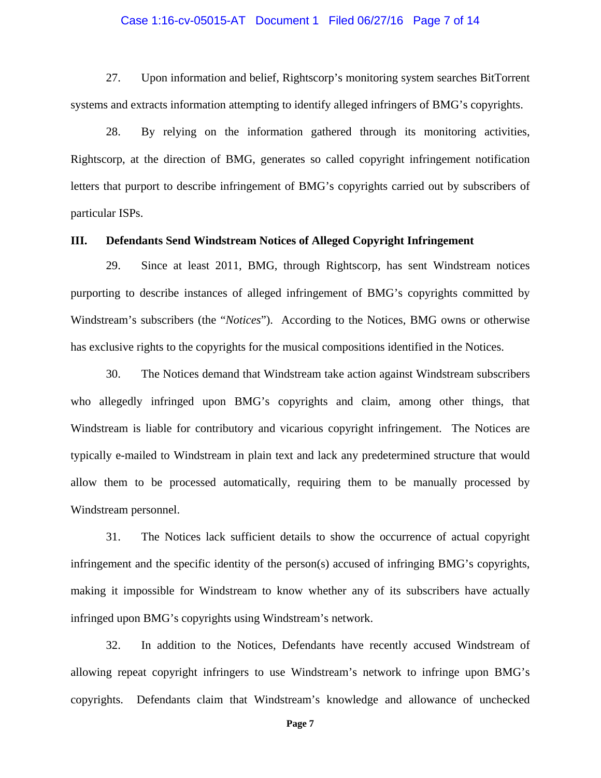#### Case 1:16-cv-05015-AT Document 1 Filed 06/27/16 Page 7 of 14

27. Upon information and belief, Rightscorp's monitoring system searches BitTorrent systems and extracts information attempting to identify alleged infringers of BMG's copyrights.

28. By relying on the information gathered through its monitoring activities, Rightscorp, at the direction of BMG, generates so called copyright infringement notification letters that purport to describe infringement of BMG's copyrights carried out by subscribers of particular ISPs.

### **III. Defendants Send Windstream Notices of Alleged Copyright Infringement**

29. Since at least 2011, BMG, through Rightscorp, has sent Windstream notices purporting to describe instances of alleged infringement of BMG's copyrights committed by Windstream's subscribers (the "*Notices*"). According to the Notices, BMG owns or otherwise has exclusive rights to the copyrights for the musical compositions identified in the Notices.

30. The Notices demand that Windstream take action against Windstream subscribers who allegedly infringed upon BMG's copyrights and claim, among other things, that Windstream is liable for contributory and vicarious copyright infringement. The Notices are typically e-mailed to Windstream in plain text and lack any predetermined structure that would allow them to be processed automatically, requiring them to be manually processed by Windstream personnel.

31. The Notices lack sufficient details to show the occurrence of actual copyright infringement and the specific identity of the person(s) accused of infringing BMG's copyrights, making it impossible for Windstream to know whether any of its subscribers have actually infringed upon BMG's copyrights using Windstream's network.

32. In addition to the Notices, Defendants have recently accused Windstream of allowing repeat copyright infringers to use Windstream's network to infringe upon BMG's copyrights. Defendants claim that Windstream's knowledge and allowance of unchecked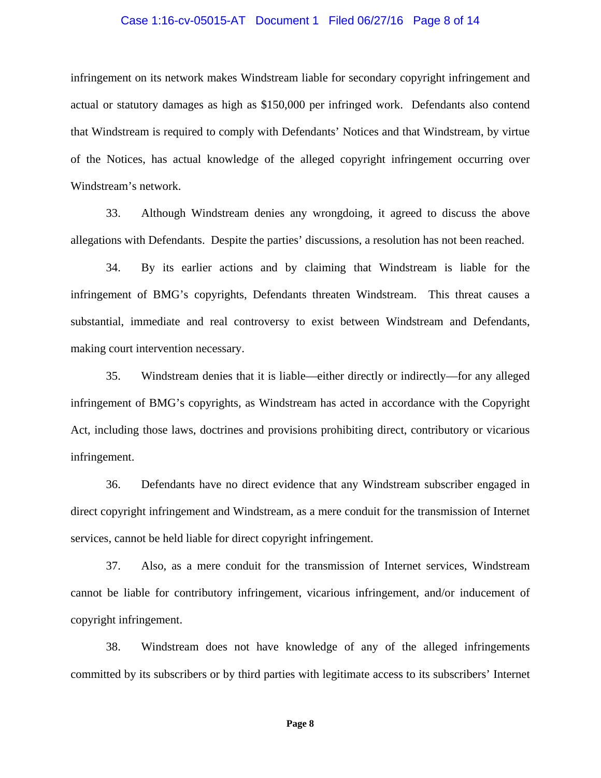#### Case 1:16-cv-05015-AT Document 1 Filed 06/27/16 Page 8 of 14

infringement on its network makes Windstream liable for secondary copyright infringement and actual or statutory damages as high as \$150,000 per infringed work. Defendants also contend that Windstream is required to comply with Defendants' Notices and that Windstream, by virtue of the Notices, has actual knowledge of the alleged copyright infringement occurring over Windstream's network.

33. Although Windstream denies any wrongdoing, it agreed to discuss the above allegations with Defendants. Despite the parties' discussions, a resolution has not been reached.

34. By its earlier actions and by claiming that Windstream is liable for the infringement of BMG's copyrights, Defendants threaten Windstream. This threat causes a substantial, immediate and real controversy to exist between Windstream and Defendants, making court intervention necessary.

35. Windstream denies that it is liable—either directly or indirectly—for any alleged infringement of BMG's copyrights, as Windstream has acted in accordance with the Copyright Act, including those laws, doctrines and provisions prohibiting direct, contributory or vicarious infringement.

36. Defendants have no direct evidence that any Windstream subscriber engaged in direct copyright infringement and Windstream, as a mere conduit for the transmission of Internet services, cannot be held liable for direct copyright infringement.

37. Also, as a mere conduit for the transmission of Internet services, Windstream cannot be liable for contributory infringement, vicarious infringement, and/or inducement of copyright infringement.

38. Windstream does not have knowledge of any of the alleged infringements committed by its subscribers or by third parties with legitimate access to its subscribers' Internet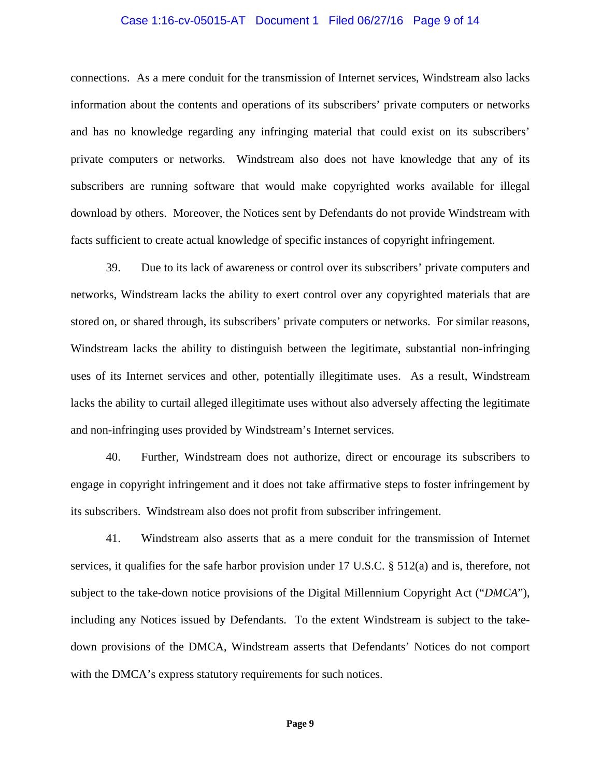## Case 1:16-cv-05015-AT Document 1 Filed 06/27/16 Page 9 of 14

connections. As a mere conduit for the transmission of Internet services, Windstream also lacks information about the contents and operations of its subscribers' private computers or networks and has no knowledge regarding any infringing material that could exist on its subscribers' private computers or networks. Windstream also does not have knowledge that any of its subscribers are running software that would make copyrighted works available for illegal download by others. Moreover, the Notices sent by Defendants do not provide Windstream with facts sufficient to create actual knowledge of specific instances of copyright infringement.

39. Due to its lack of awareness or control over its subscribers' private computers and networks, Windstream lacks the ability to exert control over any copyrighted materials that are stored on, or shared through, its subscribers' private computers or networks. For similar reasons, Windstream lacks the ability to distinguish between the legitimate, substantial non-infringing uses of its Internet services and other, potentially illegitimate uses. As a result, Windstream lacks the ability to curtail alleged illegitimate uses without also adversely affecting the legitimate and non-infringing uses provided by Windstream's Internet services.

40. Further, Windstream does not authorize, direct or encourage its subscribers to engage in copyright infringement and it does not take affirmative steps to foster infringement by its subscribers. Windstream also does not profit from subscriber infringement.

41. Windstream also asserts that as a mere conduit for the transmission of Internet services, it qualifies for the safe harbor provision under 17 U.S.C. § 512(a) and is, therefore, not subject to the take-down notice provisions of the Digital Millennium Copyright Act ("*DMCA*"), including any Notices issued by Defendants. To the extent Windstream is subject to the takedown provisions of the DMCA, Windstream asserts that Defendants' Notices do not comport with the DMCA's express statutory requirements for such notices.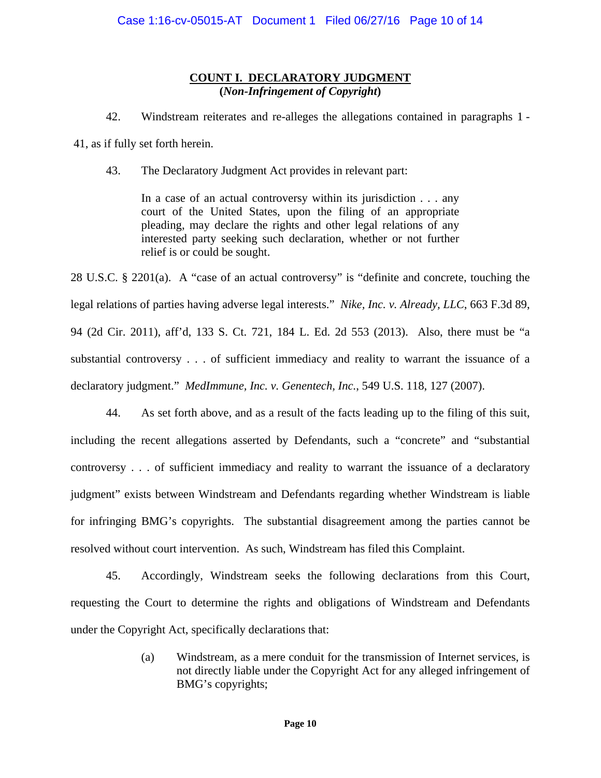## **COUNT I. DECLARATORY JUDGMENT (***Non-Infringement of Copyright***)**

42. Windstream reiterates and re-alleges the allegations contained in paragraphs 1 -

41, as if fully set forth herein.

43. The Declaratory Judgment Act provides in relevant part:

In a case of an actual controversy within its jurisdiction . . . any court of the United States, upon the filing of an appropriate pleading, may declare the rights and other legal relations of any interested party seeking such declaration, whether or not further relief is or could be sought.

28 U.S.C. § 2201(a). A "case of an actual controversy" is "definite and concrete, touching the legal relations of parties having adverse legal interests." *Nike, Inc. v. Already, LLC*, 663 F.3d 89, 94 (2d Cir. 2011), aff'd, 133 S. Ct. 721, 184 L. Ed. 2d 553 (2013). Also, there must be "a substantial controversy . . . of sufficient immediacy and reality to warrant the issuance of a declaratory judgment." *MedImmune, Inc. v. Genentech, Inc.*, 549 U.S. 118, 127 (2007).

44. As set forth above, and as a result of the facts leading up to the filing of this suit, including the recent allegations asserted by Defendants, such a "concrete" and "substantial controversy . . . of sufficient immediacy and reality to warrant the issuance of a declaratory judgment" exists between Windstream and Defendants regarding whether Windstream is liable for infringing BMG's copyrights. The substantial disagreement among the parties cannot be resolved without court intervention. As such, Windstream has filed this Complaint.

45. Accordingly, Windstream seeks the following declarations from this Court, requesting the Court to determine the rights and obligations of Windstream and Defendants under the Copyright Act, specifically declarations that:

> (a) Windstream, as a mere conduit for the transmission of Internet services, is not directly liable under the Copyright Act for any alleged infringement of BMG's copyrights;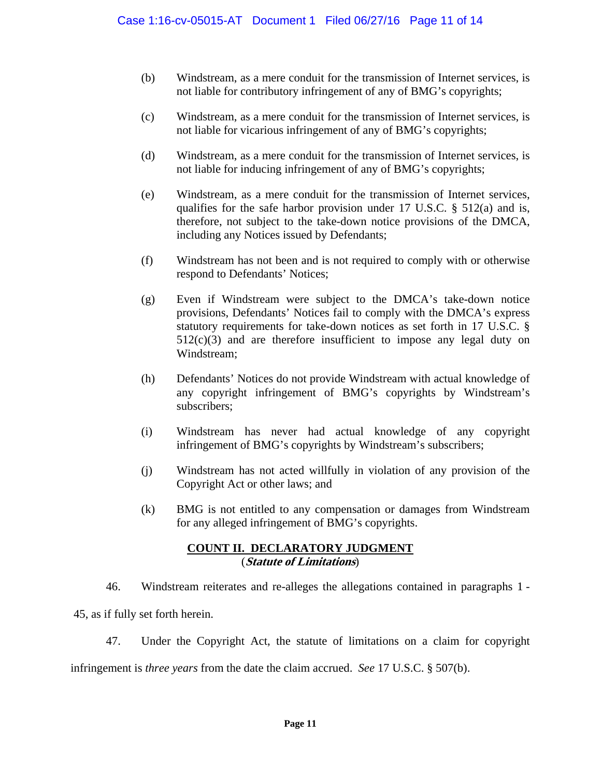- (b) Windstream, as a mere conduit for the transmission of Internet services, is not liable for contributory infringement of any of BMG's copyrights;
- (c) Windstream, as a mere conduit for the transmission of Internet services, is not liable for vicarious infringement of any of BMG's copyrights;
- (d) Windstream, as a mere conduit for the transmission of Internet services, is not liable for inducing infringement of any of BMG's copyrights;
- (e) Windstream, as a mere conduit for the transmission of Internet services, qualifies for the safe harbor provision under 17 U.S.C. § 512(a) and is, therefore, not subject to the take-down notice provisions of the DMCA, including any Notices issued by Defendants;
- (f) Windstream has not been and is not required to comply with or otherwise respond to Defendants' Notices;
- (g) Even if Windstream were subject to the DMCA's take-down notice provisions, Defendants' Notices fail to comply with the DMCA's express statutory requirements for take-down notices as set forth in 17 U.S.C. §  $512(c)(3)$  and are therefore insufficient to impose any legal duty on Windstream;
- (h) Defendants' Notices do not provide Windstream with actual knowledge of any copyright infringement of BMG's copyrights by Windstream's subscribers;
- (i) Windstream has never had actual knowledge of any copyright infringement of BMG's copyrights by Windstream's subscribers;
- (j) Windstream has not acted willfully in violation of any provision of the Copyright Act or other laws; and
- (k) BMG is not entitled to any compensation or damages from Windstream for any alleged infringement of BMG's copyrights.

### **COUNT II. DECLARATORY JUDGMENT**  (**Statute of Limitations**)

46. Windstream reiterates and re-alleges the allegations contained in paragraphs 1 -

45, as if fully set forth herein.

47. Under the Copyright Act, the statute of limitations on a claim for copyright

infringement is *three years* from the date the claim accrued. *See* 17 U.S.C. § 507(b).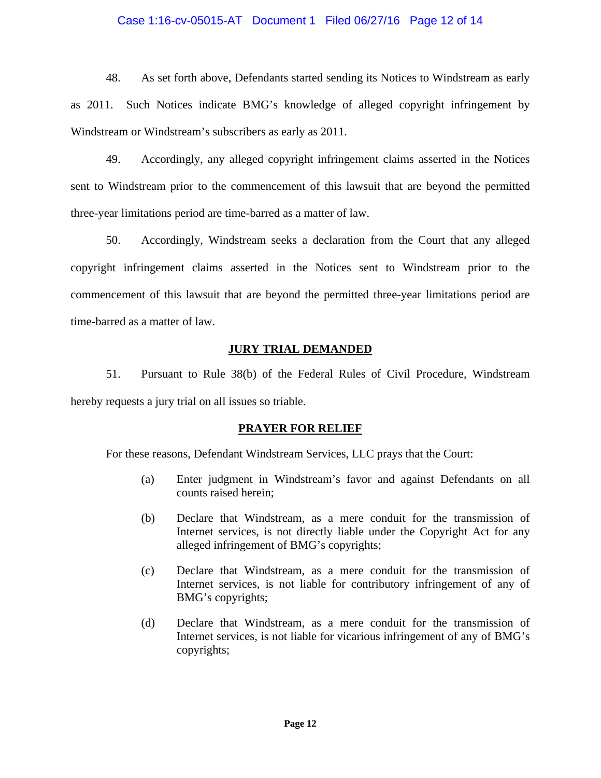### Case 1:16-cv-05015-AT Document 1 Filed 06/27/16 Page 12 of 14

48. As set forth above, Defendants started sending its Notices to Windstream as early as 2011. Such Notices indicate BMG's knowledge of alleged copyright infringement by Windstream or Windstream's subscribers as early as 2011.

49. Accordingly, any alleged copyright infringement claims asserted in the Notices sent to Windstream prior to the commencement of this lawsuit that are beyond the permitted three-year limitations period are time-barred as a matter of law.

50. Accordingly, Windstream seeks a declaration from the Court that any alleged copyright infringement claims asserted in the Notices sent to Windstream prior to the commencement of this lawsuit that are beyond the permitted three-year limitations period are time-barred as a matter of law.

### **JURY TRIAL DEMANDED**

51. Pursuant to Rule 38(b) of the Federal Rules of Civil Procedure, Windstream hereby requests a jury trial on all issues so triable.

### **PRAYER FOR RELIEF**

For these reasons, Defendant Windstream Services, LLC prays that the Court:

- (a) Enter judgment in Windstream's favor and against Defendants on all counts raised herein;
- (b) Declare that Windstream, as a mere conduit for the transmission of Internet services, is not directly liable under the Copyright Act for any alleged infringement of BMG's copyrights;
- (c) Declare that Windstream, as a mere conduit for the transmission of Internet services, is not liable for contributory infringement of any of BMG's copyrights;
- (d) Declare that Windstream, as a mere conduit for the transmission of Internet services, is not liable for vicarious infringement of any of BMG's copyrights;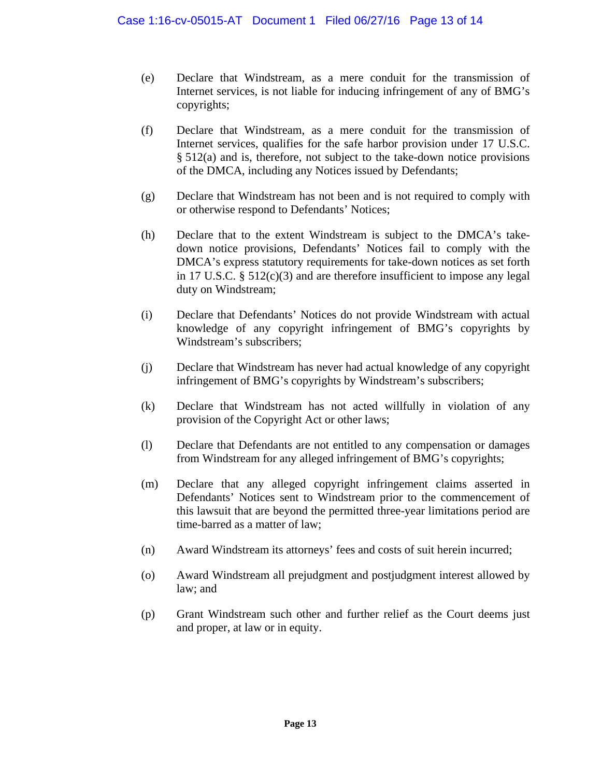- (e) Declare that Windstream, as a mere conduit for the transmission of Internet services, is not liable for inducing infringement of any of BMG's copyrights;
- (f) Declare that Windstream, as a mere conduit for the transmission of Internet services, qualifies for the safe harbor provision under 17 U.S.C. § 512(a) and is, therefore, not subject to the take-down notice provisions of the DMCA, including any Notices issued by Defendants;
- (g) Declare that Windstream has not been and is not required to comply with or otherwise respond to Defendants' Notices;
- (h) Declare that to the extent Windstream is subject to the DMCA's takedown notice provisions, Defendants' Notices fail to comply with the DMCA's express statutory requirements for take-down notices as set forth in 17 U.S.C. § 512(c)(3) and are therefore insufficient to impose any legal duty on Windstream;
- (i) Declare that Defendants' Notices do not provide Windstream with actual knowledge of any copyright infringement of BMG's copyrights by Windstream's subscribers;
- (j) Declare that Windstream has never had actual knowledge of any copyright infringement of BMG's copyrights by Windstream's subscribers;
- (k) Declare that Windstream has not acted willfully in violation of any provision of the Copyright Act or other laws;
- (l) Declare that Defendants are not entitled to any compensation or damages from Windstream for any alleged infringement of BMG's copyrights;
- (m) Declare that any alleged copyright infringement claims asserted in Defendants' Notices sent to Windstream prior to the commencement of this lawsuit that are beyond the permitted three-year limitations period are time-barred as a matter of law;
- (n) Award Windstream its attorneys' fees and costs of suit herein incurred;
- (o) Award Windstream all prejudgment and postjudgment interest allowed by law; and
- (p) Grant Windstream such other and further relief as the Court deems just and proper, at law or in equity.